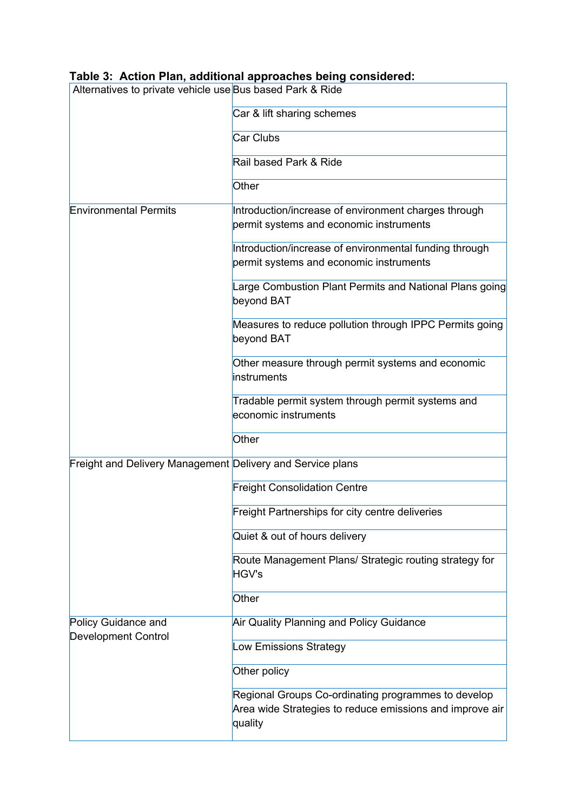| Table 3: Action Plan, additional approaches being considered: |                                                                                                                            |  |
|---------------------------------------------------------------|----------------------------------------------------------------------------------------------------------------------------|--|
| Alternatives to private vehicle use Bus based Park & Ride     |                                                                                                                            |  |
|                                                               | Car & lift sharing schemes                                                                                                 |  |
|                                                               | <b>Car Clubs</b>                                                                                                           |  |
|                                                               | Rail based Park & Ride                                                                                                     |  |
|                                                               | Other                                                                                                                      |  |
| <b>Environmental Permits</b>                                  | Introduction/increase of environment charges through<br>permit systems and economic instruments                            |  |
|                                                               | Introduction/increase of environmental funding through<br>permit systems and economic instruments                          |  |
|                                                               | Large Combustion Plant Permits and National Plans going<br>beyond BAT                                                      |  |
|                                                               | Measures to reduce pollution through IPPC Permits going<br>beyond BAT                                                      |  |
|                                                               | Other measure through permit systems and economic<br>instruments                                                           |  |
|                                                               | Tradable permit system through permit systems and<br>economic instruments                                                  |  |
|                                                               | Other                                                                                                                      |  |
| Freight and Delivery Management Delivery and Service plans    |                                                                                                                            |  |
|                                                               | <b>Freight Consolidation Centre</b>                                                                                        |  |
|                                                               | Freight Partnerships for city centre deliveries                                                                            |  |
|                                                               | Quiet & out of hours delivery                                                                                              |  |
|                                                               | Route Management Plans/ Strategic routing strategy for<br>HGV's                                                            |  |
|                                                               | Other                                                                                                                      |  |
| Policy Guidance and<br><b>Development Control</b>             | Air Quality Planning and Policy Guidance                                                                                   |  |
|                                                               | <b>Low Emissions Strategy</b>                                                                                              |  |
|                                                               | Other policy                                                                                                               |  |
|                                                               | Regional Groups Co-ordinating programmes to develop<br>Area wide Strategies to reduce emissions and improve air<br>quality |  |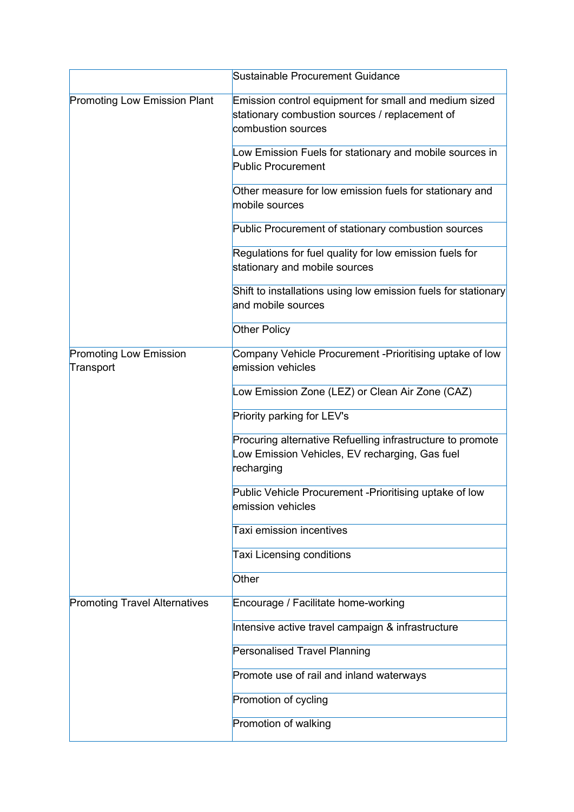|                                            | Sustainable Procurement Guidance                                                                                              |
|--------------------------------------------|-------------------------------------------------------------------------------------------------------------------------------|
| <b>Promoting Low Emission Plant</b>        | Emission control equipment for small and medium sized<br>stationary combustion sources / replacement of<br>combustion sources |
|                                            | Low Emission Fuels for stationary and mobile sources in<br><b>Public Procurement</b>                                          |
|                                            | Other measure for low emission fuels for stationary and<br>mobile sources                                                     |
|                                            | Public Procurement of stationary combustion sources                                                                           |
|                                            | Regulations for fuel quality for low emission fuels for<br>stationary and mobile sources                                      |
|                                            | Shift to installations using low emission fuels for stationary<br>and mobile sources                                          |
|                                            | <b>Other Policy</b>                                                                                                           |
| <b>Promoting Low Emission</b><br>Transport | Company Vehicle Procurement - Prioritising uptake of low<br>emission vehicles                                                 |
|                                            | Low Emission Zone (LEZ) or Clean Air Zone (CAZ)                                                                               |
|                                            | Priority parking for LEV's                                                                                                    |
|                                            | Procuring alternative Refuelling infrastructure to promote<br>Low Emission Vehicles, EV recharging, Gas fuel<br>recharging    |
|                                            | Public Vehicle Procurement - Prioritising uptake of low<br>emission vehicles                                                  |
|                                            | Taxi emission incentives                                                                                                      |
|                                            | <b>Taxi Licensing conditions</b>                                                                                              |
|                                            | Other                                                                                                                         |
| <b>Promoting Travel Alternatives</b>       | Encourage / Facilitate home-working                                                                                           |
|                                            | Intensive active travel campaign & infrastructure                                                                             |
|                                            | <b>Personalised Travel Planning</b>                                                                                           |
|                                            | Promote use of rail and inland waterways                                                                                      |
|                                            | Promotion of cycling                                                                                                          |
|                                            | Promotion of walking                                                                                                          |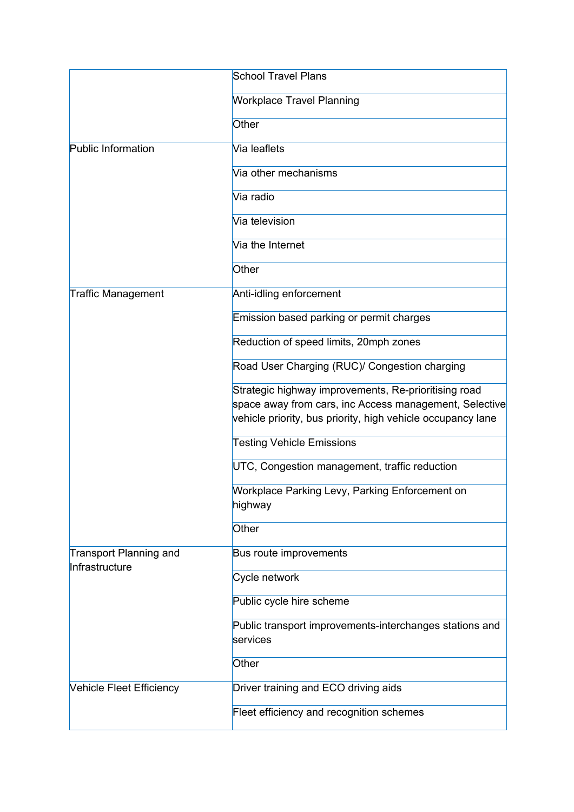|                                                 | <b>School Travel Plans</b>                                                                                                                                                    |
|-------------------------------------------------|-------------------------------------------------------------------------------------------------------------------------------------------------------------------------------|
|                                                 | <b>Workplace Travel Planning</b>                                                                                                                                              |
|                                                 | Other                                                                                                                                                                         |
| <b>Public Information</b>                       | Via leaflets                                                                                                                                                                  |
|                                                 | Via other mechanisms                                                                                                                                                          |
|                                                 | Via radio                                                                                                                                                                     |
|                                                 | Via television                                                                                                                                                                |
|                                                 | Via the Internet                                                                                                                                                              |
|                                                 | Other                                                                                                                                                                         |
| Traffic Management                              | Anti-idling enforcement                                                                                                                                                       |
|                                                 | Emission based parking or permit charges                                                                                                                                      |
|                                                 | Reduction of speed limits, 20mph zones                                                                                                                                        |
|                                                 | Road User Charging (RUC)/ Congestion charging                                                                                                                                 |
|                                                 | Strategic highway improvements, Re-prioritising road<br>space away from cars, inc Access management, Selective<br>vehicle priority, bus priority, high vehicle occupancy lane |
|                                                 | <b>Testing Vehicle Emissions</b>                                                                                                                                              |
|                                                 | UTC, Congestion management, traffic reduction                                                                                                                                 |
|                                                 | Workplace Parking Levy, Parking Enforcement on<br>highway                                                                                                                     |
|                                                 | Other                                                                                                                                                                         |
| <b>Transport Planning and</b><br>Infrastructure | Bus route improvements                                                                                                                                                        |
|                                                 | Cycle network                                                                                                                                                                 |
|                                                 | Public cycle hire scheme                                                                                                                                                      |
|                                                 | Public transport improvements-interchanges stations and<br>services                                                                                                           |
|                                                 | Other                                                                                                                                                                         |
| <b>Vehicle Fleet Efficiency</b>                 | Driver training and ECO driving aids                                                                                                                                          |
|                                                 | Fleet efficiency and recognition schemes                                                                                                                                      |